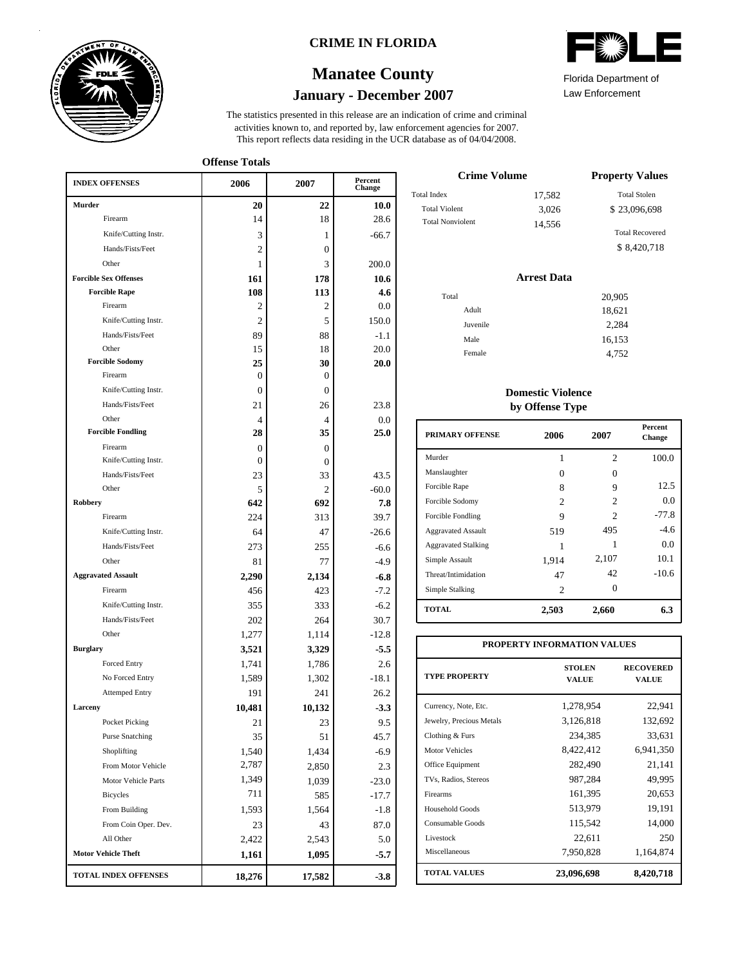

### **CRIME IN FLORIDA**

# **January - December 2007 Manatee County**

This report reflects data residing in the UCR database as of 04/04/2008. activities known to, and reported by, law enforcement agencies for 2007. The statistics presented in this release are an indication of crime and criminal

**Offense Totals**

| <b>INDEX OFFENSES</b>             | 2006                 | 2007                     | Percent<br>Change |  |
|-----------------------------------|----------------------|--------------------------|-------------------|--|
| <b>Murder</b>                     | 20                   | 22                       | 10.0              |  |
| Firearm                           | 14                   | 18                       | 28.6              |  |
| Knife/Cutting Instr.              | 3                    | 1                        | $-66.7$           |  |
| Hands/Fists/Feet                  | 2                    | $\mathbf{0}$             |                   |  |
| Other                             | 1                    | 3                        | 200.0             |  |
| <b>Forcible Sex Offenses</b>      | 161                  | 178                      | 10.6              |  |
| <b>Forcible Rape</b>              | 108                  | 113                      | 4.6               |  |
| Firearm                           | 2                    | 2                        | 0.0               |  |
| Knife/Cutting Instr.              | 2                    | 5                        | 150.0             |  |
| Hands/Fists/Feet                  | 89                   | 88                       | $-1.1$            |  |
| Other                             | 15                   | 18                       | 20.0              |  |
| <b>Forcible Sodomy</b>            | 25                   | 30                       | 20.0              |  |
| Firearm                           | 0                    | $\mathbf{0}$             |                   |  |
| Knife/Cutting Instr.              | 0                    | $\mathbf{0}$             |                   |  |
| Hands/Fists/Feet                  | 21                   | 26                       | 23.8              |  |
| Other<br><b>Forcible Fondling</b> | $\overline{4}$<br>28 | $\overline{4}$<br>35     | 0.0<br>25.0       |  |
| Firearm                           |                      |                          |                   |  |
| Knife/Cutting Instr.              | $\Omega$<br>$\Omega$ | $\Omega$<br>$\mathbf{0}$ |                   |  |
| Hands/Fists/Feet                  | 23                   | 33                       | 43.5              |  |
| Other                             | 5                    | 2                        | $-60.0$           |  |
| <b>Robbery</b>                    | 642                  | 692                      | 7.8               |  |
| Firearm                           | 224                  | 313                      | 39.7              |  |
| Knife/Cutting Instr.              | 64                   | 47                       | $-26.6$           |  |
| Hands/Fists/Feet                  | 273                  | 255                      | $-6.6$            |  |
| Other                             | 81                   | 77                       | $-4.9$            |  |
| <b>Aggravated Assault</b>         | 2,290                | 2,134                    | $-6.8$            |  |
| Firearm                           | 456                  | 423                      | $-7.2$            |  |
| Knife/Cutting Instr.              | 355                  | 333                      | $-6.2$            |  |
| Hands/Fists/Feet                  | 202                  | 264                      | 30.7              |  |
| Other                             | 1,277                | 1,114                    | $-12.8$           |  |
| <b>Burglary</b>                   | 3,521                | 3,329                    | $-5.5$            |  |
| Forced Entry                      | 1,741                | 1,786                    | 2.6               |  |
| No Forced Entry                   | 1,589                | 1,302                    | $-18.1$           |  |
| <b>Attemped Entry</b>             | 191                  | 241                      | 26.2              |  |
| Larceny                           | 10,481               | 10,132                   | $-3.3$            |  |
| Pocket Picking                    | 21                   | 23                       | 9.5               |  |
| <b>Purse Snatching</b>            | 35                   | 51                       | 45.7              |  |
| Shoplifting                       | 1,540                | 1,434                    | $-6.9$            |  |
| From Motor Vehicle                | 2,787                | 2,850                    | 2.3               |  |
| Motor Vehicle Parts               | 1,349                | 1,039                    | $-23.0$           |  |
| <b>Bicycles</b>                   | 711                  | 585                      | $-17.7$           |  |
| From Building                     | 1,593                | 1,564                    | $-1.8$            |  |
| From Coin Oper. Dev.              | 23                   | 43                       | 87.0              |  |
| All Other                         | 2,422                | 2,543                    | 5.0               |  |
| <b>Motor Vehicle Theft</b>        | 1,161                | 1,095                    | $-5.7$            |  |
| <b>TOTAL INDEX OFFENSES</b>       | 18,276               | 17,582                   | $-3.8$            |  |

Law Enforcement Florida Department of

| <b>Crime Volume</b>     | <b>Property Values</b> |                        |  |
|-------------------------|------------------------|------------------------|--|
| <b>Total Index</b>      | 17,582                 | <b>Total Stolen</b>    |  |
| <b>Total Violent</b>    | 3,026                  | \$23,096,698           |  |
| <b>Total Nonviolent</b> | 14.556                 | <b>Total Recovered</b> |  |
|                         |                        | \$8,420,718            |  |

#### **Arrest Data**

| Total |          | 20,905 |
|-------|----------|--------|
|       | Adult    | 18,621 |
|       | Juvenile | 2,284  |
|       | Male     | 16,153 |
|       | Female   | 4,752  |
|       |          |        |

### **Domestic Violence by Offense Type**

| <b>PRIMARY OFFENSE</b>     | 2006           | 2007                        | <b>Percent</b><br>Change |
|----------------------------|----------------|-----------------------------|--------------------------|
| Murder                     | 1              | $\overline{c}$              | 100.0                    |
| Manslaughter               | 0              | 0                           |                          |
| Forcible Rape              | 8              | 9                           | 12.5                     |
| Forcible Sodomy            | $\mathfrak{D}$ | $\mathcal{D}_{\mathcal{L}}$ | 0.0                      |
| Forcible Fondling          | 9              | 2                           | $-77.8$                  |
| <b>Aggravated Assault</b>  | 519            | 495                         | $-4.6$                   |
| <b>Aggravated Stalking</b> |                | 1                           | 0.0                      |
| Simple Assault             | 1,914          | 2,107                       | 10.1                     |
| Threat/Intimidation        | 47             | 42                          | $-10.6$                  |
| Simple Stalking            | 2              | 0                           |                          |
| <b>TOTAL</b>               | 2,503          | 2,660                       | 6.3                      |

| PROPERTY INFORMATION VALUES |                               |                                  |  |  |  |  |  |
|-----------------------------|-------------------------------|----------------------------------|--|--|--|--|--|
| <b>TYPE PROPERTY</b>        | <b>STOLEN</b><br><b>VALUE</b> | <b>RECOVERED</b><br><b>VALUE</b> |  |  |  |  |  |
| Currency, Note, Etc.        | 1,278,954                     | 22,941                           |  |  |  |  |  |
| Jewelry, Precious Metals    | 3,126,818                     | 132,692                          |  |  |  |  |  |
| Clothing & Furs             | 234,385                       | 33,631                           |  |  |  |  |  |
| <b>Motor Vehicles</b>       | 8,422,412                     | 6,941,350                        |  |  |  |  |  |
| Office Equipment            | 282,490                       | 21,141                           |  |  |  |  |  |
| TVs, Radios, Stereos        | 987,284                       | 49,995                           |  |  |  |  |  |
| Firearms                    | 161,395                       | 20,653                           |  |  |  |  |  |
| Household Goods             | 513,979                       | 19,191                           |  |  |  |  |  |
| Consumable Goods            | 115,542                       | 14,000                           |  |  |  |  |  |
| Livestock                   | 22,611                        | 250                              |  |  |  |  |  |
| Miscellaneous               | 7,950,828                     | 1,164,874                        |  |  |  |  |  |
| <b>TOTAL VALUES</b>         | 23,096,698                    | 8,420,718                        |  |  |  |  |  |